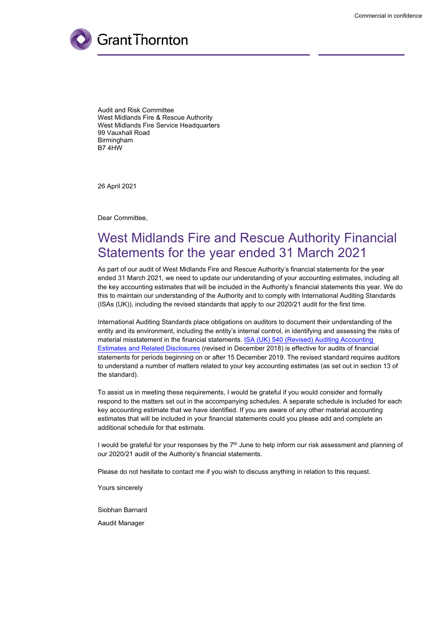

Audit and Risk Committee West Midlands Fire & Rescue Authority West Midlands Fire Service Headquarters 99 Vauxhall Road Birmingham B7 4HW

26 April 2021

Dear Committee,

# West Midlands Fire and Rescue Authority Financial Statements for the year ended 31 March 2021

As part of our audit of West Midlands Fire and Rescue Authority's financial statements for the year ended 31 March 2021, we need to update our understanding of your accounting estimates, including all the key accounting estimates that will be included in the Authority's financial statements this year. We do this to maintain our understanding of the Authority and to comply with International Auditing Standards (ISAs (UK)), including the revised standards that apply to our 2020/21 audit for the first time.

International Auditing Standards place obligations on auditors to document their understanding of the entity and its environment, including the entity's internal control, in identifying and assessing the risks of material misstatement in the financial statements. ISA (UK) 540 (Revised) Auditing [Accounting](https://www.frc.org.uk/getattachment/0fa69c03-49ec-49ae-a8c9-cc7a2b65382a/ISA-(UK)-540_Revised-December-2018_final.pdf) Estimates and Related [Disclosures](https://www.frc.org.uk/getattachment/0fa69c03-49ec-49ae-a8c9-cc7a2b65382a/ISA-(UK)-540_Revised-December-2018_final.pdf) (revised in December 2018) is effective for audits of financial statements for periods beginning on or after 15 December 2019. The revised standard requires auditors to understand a number of matters related to your key accounting estimates (as set out in section 13 of the standard).

To assist us in meeting these requirements, I would be grateful if you would consider and formally respond to the matters set out in the accompanying schedules. A separate schedule is included for each key accounting estimate that we have identified. If you are aware of any other material accounting estimates that will be included in your financial statements could you please add and complete an additional schedule for that estimate.

I would be grateful for your responses by the  $7<sup>th</sup>$  June to help inform our risk assessment and planning of our 2020/21 audit of the Authority's financial statements.

Please do not hesitate to contact me if you wish to discuss anything in relation to this request.

Yours sincerely

Siobhan Barnard

Aaudit Manager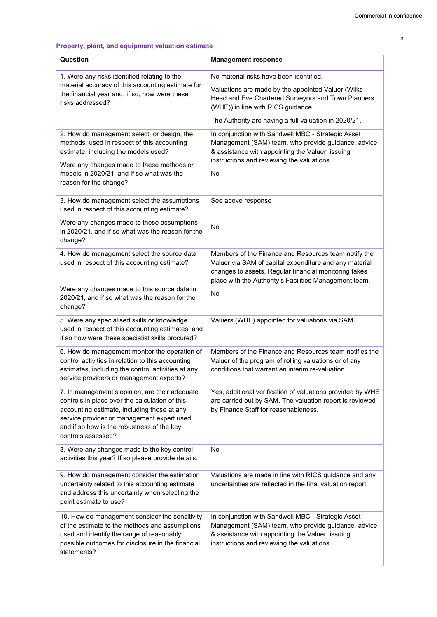# **Property, plant, and equipment valuation estimate**

| Question                                                                                                                                                                                                                                                           | <b>Management response</b>                                                                                                                                                                                                                         |
|--------------------------------------------------------------------------------------------------------------------------------------------------------------------------------------------------------------------------------------------------------------------|----------------------------------------------------------------------------------------------------------------------------------------------------------------------------------------------------------------------------------------------------|
| 1. Were any risks identified relating to the<br>material accuracy of this accounting estimate for<br>the financial year and, if so, how were these<br>risks addressed?                                                                                             | No material risks have been identified.<br>Valuations are made by the appointed Valuer (Wilks<br>Head and Eve Chartered Surveyors and Town Planners<br>(WHE)) in line with RICS guidance.<br>The Authority are having a full valuation in 2020/21. |
| 2. How do management select, or design, the<br>methods, used in respect of this accounting<br>estimate, including the models used?<br>Were any changes made to these methods or<br>models in 2020/21, and if so what was the<br>reason for the change?             | In conjunction with Sandwell MBC - Strategic Asset<br>Management (SAM) team, who provide guidance, advice<br>& assistance with appointing the Valuer, issuing<br>instructions and reviewing the valuations.<br>No                                  |
| 3. How do management select the assumptions<br>used in respect of this accounting estimate?<br>Were any changes made to these assumptions<br>in 2020/21, and if so what was the reason for the<br>change?                                                          | See above response<br>No                                                                                                                                                                                                                           |
| 4. How do management select the source data<br>used in respect of this accounting estimate?<br>Were any changes made to this source data in<br>2020/21, and if so what was the reason for the<br>change?                                                           | Members of the Finance and Resources team notify the<br>Valuer via SAM of capital expenditure and any material<br>changes to assets. Regular financial monitoring takes<br>place with the Authority's Facilities Management team.<br><b>No</b>     |
| 5. Were any specialised skills or knowledge<br>used in respect of this accounting estimates, and<br>if so how were these specialist skills procured?                                                                                                               | Valuers (WHE) appointed for valuations via SAM.                                                                                                                                                                                                    |
| 6. How do management monitor the operation of<br>control activities in relation to this accounting<br>estimates, including the control activities at any<br>service providers or management experts?                                                               | Members of the Finance and Resources team notifies the<br>Valuer of the program of rolling valuations or of any<br>conditions that warrant an interim re-valuation.                                                                                |
| 7. In management's opinion, are their adequate<br>controls in place over the calculation of this<br>accounting estimate, including those at any<br>service provider or management expert used,<br>and if so how is the robustness of the key<br>controls assessed? | Yes, additional verification of valuations provided by WHE<br>are carried out by SAM. The valuation report is reviewed<br>by Finance Staff for reasonableness.                                                                                     |
| 8. Were any changes made to the key control<br>activities this year? If so please provide details.                                                                                                                                                                 | No                                                                                                                                                                                                                                                 |
| 9. How do management consider the estimation<br>uncertainty related to this accounting estimate<br>and address this uncertainty when selecting the<br>point estimate to use?                                                                                       | Valuations are made in line with RICS guidance and any<br>uncertainties are reflected in the final valuation report.                                                                                                                               |
| 10. How do management consider the sensitivity<br>of the estimate to the methods and assumptions<br>used and identify the range of reasonably<br>possible outcomes for disclosure in the financial<br>statements?                                                  | In conjunction with Sandwell MBC - Strategic Asset<br>Management (SAM) team, who provide guidance, advice<br>& assistance with appointing the Valuer, issuing<br>instructions and reviewing the valuations.                                        |

Grant Thornton UK LLP **2**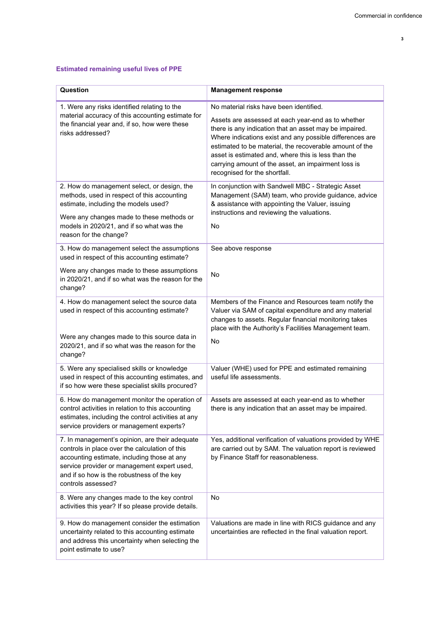Grant Thornton UK LLP **3**

# **Estimated remaining useful lives of PPE**

| Question                                                                                                                                                                                                                                                           | <b>Management response</b>                                                                                                                                                                                                                                                                                                                                                                                                    |
|--------------------------------------------------------------------------------------------------------------------------------------------------------------------------------------------------------------------------------------------------------------------|-------------------------------------------------------------------------------------------------------------------------------------------------------------------------------------------------------------------------------------------------------------------------------------------------------------------------------------------------------------------------------------------------------------------------------|
| 1. Were any risks identified relating to the<br>material accuracy of this accounting estimate for<br>the financial year and, if so, how were these<br>risks addressed?                                                                                             | No material risks have been identified.<br>Assets are assessed at each year-end as to whether<br>there is any indication that an asset may be impaired.<br>Where indications exist and any possible differences are<br>estimated to be material, the recoverable amount of the<br>asset is estimated and, where this is less than the<br>carrying amount of the asset, an impairment loss is<br>recognised for the shortfall. |
| 2. How do management select, or design, the<br>methods, used in respect of this accounting<br>estimate, including the models used?<br>Were any changes made to these methods or<br>models in 2020/21, and if so what was the<br>reason for the change?             | In conjunction with Sandwell MBC - Strategic Asset<br>Management (SAM) team, who provide guidance, advice<br>& assistance with appointing the Valuer, issuing<br>instructions and reviewing the valuations.<br><b>No</b>                                                                                                                                                                                                      |
| 3. How do management select the assumptions<br>used in respect of this accounting estimate?                                                                                                                                                                        | See above response                                                                                                                                                                                                                                                                                                                                                                                                            |
| Were any changes made to these assumptions<br>in 2020/21, and if so what was the reason for the<br>change?                                                                                                                                                         | No                                                                                                                                                                                                                                                                                                                                                                                                                            |
| 4. How do management select the source data<br>used in respect of this accounting estimate?<br>Were any changes made to this source data in<br>2020/21, and if so what was the reason for the<br>change?                                                           | Members of the Finance and Resources team notify the<br>Valuer via SAM of capital expenditure and any material<br>changes to assets. Regular financial monitoring takes<br>place with the Authority's Facilities Management team.<br><b>No</b>                                                                                                                                                                                |
| 5. Were any specialised skills or knowledge<br>used in respect of this accounting estimates, and<br>if so how were these specialist skills procured?                                                                                                               | Valuer (WHE) used for PPE and estimated remaining<br>useful life assessments.                                                                                                                                                                                                                                                                                                                                                 |
| 6. How do management monitor the operation of<br>control activities in relation to this accounting<br>estimates, including the control activities at any<br>service providers or management experts?                                                               | Assets are assessed at each year-end as to whether<br>there is any indication that an asset may be impaired.                                                                                                                                                                                                                                                                                                                  |
| 7. In management's opinion, are their adequate<br>controls in place over the calculation of this<br>accounting estimate, including those at any<br>service provider or management expert used,<br>and if so how is the robustness of the key<br>controls assessed? | Yes, additional verification of valuations provided by WHE<br>are carried out by SAM. The valuation report is reviewed<br>by Finance Staff for reasonableness.                                                                                                                                                                                                                                                                |
| 8. Were any changes made to the key control<br>activities this year? If so please provide details.                                                                                                                                                                 | No                                                                                                                                                                                                                                                                                                                                                                                                                            |
| 9. How do management consider the estimation<br>uncertainty related to this accounting estimate<br>and address this uncertainty when selecting the<br>point estimate to use?                                                                                       | Valuations are made in line with RICS guidance and any<br>uncertainties are reflected in the final valuation report.                                                                                                                                                                                                                                                                                                          |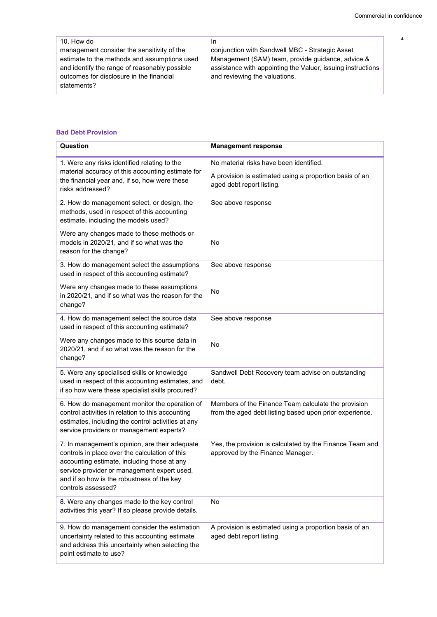| 10. How do                                    | In.                                                         |
|-----------------------------------------------|-------------------------------------------------------------|
| management consider the sensitivity of the    | conjunction with Sandwell MBC - Strategic Asset             |
| estimate to the methods and assumptions used  | Management (SAM) team, provide guidance, advice &           |
| and identify the range of reasonably possible | assistance with appointing the Valuer, issuing instructions |
| outcomes for disclosure in the financial      | and reviewing the valuations.                               |
| statements?                                   |                                                             |
|                                               |                                                             |

# **Bad Debt Provision**

| Question                                                                                                                                                                                                                                                           | <b>Management response</b>                                                                                                      |
|--------------------------------------------------------------------------------------------------------------------------------------------------------------------------------------------------------------------------------------------------------------------|---------------------------------------------------------------------------------------------------------------------------------|
| 1. Were any risks identified relating to the<br>material accuracy of this accounting estimate for<br>the financial year and, if so, how were these<br>risks addressed?                                                                                             | No material risks have been identified.<br>A provision is estimated using a proportion basis of an<br>aged debt report listing. |
| 2. How do management select, or design, the<br>methods, used in respect of this accounting<br>estimate, including the models used?                                                                                                                                 | See above response                                                                                                              |
| Were any changes made to these methods or<br>models in 2020/21, and if so what was the<br>reason for the change?                                                                                                                                                   | No                                                                                                                              |
| 3. How do management select the assumptions<br>used in respect of this accounting estimate?                                                                                                                                                                        | See above response                                                                                                              |
| Were any changes made to these assumptions<br>in 2020/21, and if so what was the reason for the<br>change?                                                                                                                                                         | No                                                                                                                              |
| 4. How do management select the source data<br>used in respect of this accounting estimate?                                                                                                                                                                        | See above response                                                                                                              |
| Were any changes made to this source data in<br>2020/21, and if so what was the reason for the<br>change?                                                                                                                                                          | No                                                                                                                              |
| 5. Were any specialised skills or knowledge<br>used in respect of this accounting estimates, and<br>if so how were these specialist skills procured?                                                                                                               | Sandwell Debt Recovery team advise on outstanding<br>debt.                                                                      |
| 6. How do management monitor the operation of<br>control activities in relation to this accounting<br>estimates, including the control activities at any<br>service providers or management experts?                                                               | Members of the Finance Team calculate the provision<br>from the aged debt listing based upon prior experience.                  |
| 7. In management's opinion, are their adequate<br>controls in place over the calculation of this<br>accounting estimate, including those at any<br>service provider or management expert used,<br>and if so how is the robustness of the key<br>controls assessed? | Yes, the provision is calculated by the Finance Team and<br>approved by the Finance Manager.                                    |
| 8. Were any changes made to the key control<br>activities this year? If so please provide details.                                                                                                                                                                 | No                                                                                                                              |
| 9. How do management consider the estimation<br>uncertainty related to this accounting estimate<br>and address this uncertainty when selecting the<br>point estimate to use?                                                                                       | A provision is estimated using a proportion basis of an<br>aged debt report listing.                                            |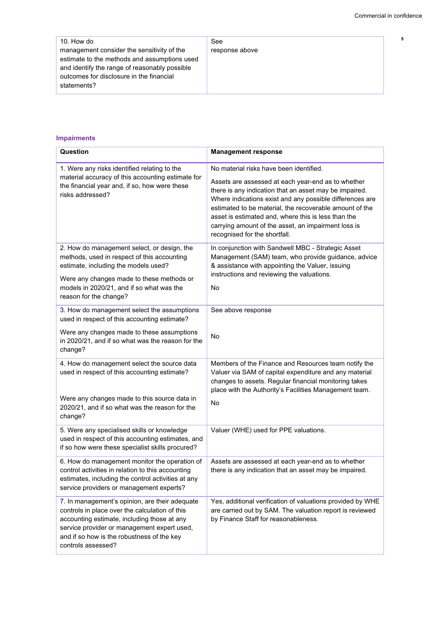| response above |     |
|----------------|-----|
|                |     |
|                |     |
|                |     |
|                |     |
|                |     |
|                |     |
|                |     |
|                |     |
|                | See |

### **Impairments**

| Question                                                                                                                                                                                                                                                           | <b>Management response</b>                                                                                                                                                                                                                                                                                                                                                                                                    |
|--------------------------------------------------------------------------------------------------------------------------------------------------------------------------------------------------------------------------------------------------------------------|-------------------------------------------------------------------------------------------------------------------------------------------------------------------------------------------------------------------------------------------------------------------------------------------------------------------------------------------------------------------------------------------------------------------------------|
| 1. Were any risks identified relating to the<br>material accuracy of this accounting estimate for<br>the financial year and, if so, how were these<br>risks addressed?                                                                                             | No material risks have been identified.<br>Assets are assessed at each year-end as to whether<br>there is any indication that an asset may be impaired.<br>Where indications exist and any possible differences are<br>estimated to be material, the recoverable amount of the<br>asset is estimated and, where this is less than the<br>carrying amount of the asset, an impairment loss is<br>recognised for the shortfall. |
| 2. How do management select, or design, the<br>methods, used in respect of this accounting<br>estimate, including the models used?<br>Were any changes made to these methods or<br>models in 2020/21, and if so what was the<br>reason for the change?             | In conjunction with Sandwell MBC - Strategic Asset<br>Management (SAM) team, who provide guidance, advice<br>& assistance with appointing the Valuer, issuing<br>instructions and reviewing the valuations.<br><b>No</b>                                                                                                                                                                                                      |
| 3. How do management select the assumptions<br>used in respect of this accounting estimate?                                                                                                                                                                        | See above response                                                                                                                                                                                                                                                                                                                                                                                                            |
| Were any changes made to these assumptions<br>in 2020/21, and if so what was the reason for the<br>change?                                                                                                                                                         | No                                                                                                                                                                                                                                                                                                                                                                                                                            |
| 4. How do management select the source data<br>used in respect of this accounting estimate?<br>Were any changes made to this source data in<br>2020/21, and if so what was the reason for the<br>change?                                                           | Members of the Finance and Resources team notify the<br>Valuer via SAM of capital expenditure and any material<br>changes to assets. Regular financial monitoring takes<br>place with the Authority's Facilities Management team.<br><b>No</b>                                                                                                                                                                                |
| 5. Were any specialised skills or knowledge<br>used in respect of this accounting estimates, and<br>if so how were these specialist skills procured?                                                                                                               | Valuer (WHE) used for PPE valuations.                                                                                                                                                                                                                                                                                                                                                                                         |
| 6. How do management monitor the operation of<br>control activities in relation to this accounting<br>estimates, including the control activities at any<br>service providers or management experts?                                                               | Assets are assessed at each year-end as to whether<br>there is any indication that an asset may be impaired.                                                                                                                                                                                                                                                                                                                  |
| 7. In management's opinion, are their adequate<br>controls in place over the calculation of this<br>accounting estimate, including those at any<br>service provider or management expert used,<br>and if so how is the robustness of the key<br>controls assessed? | Yes, additional verification of valuations provided by WHE<br>are carried out by SAM. The valuation report is reviewed<br>by Finance Staff for reasonableness.                                                                                                                                                                                                                                                                |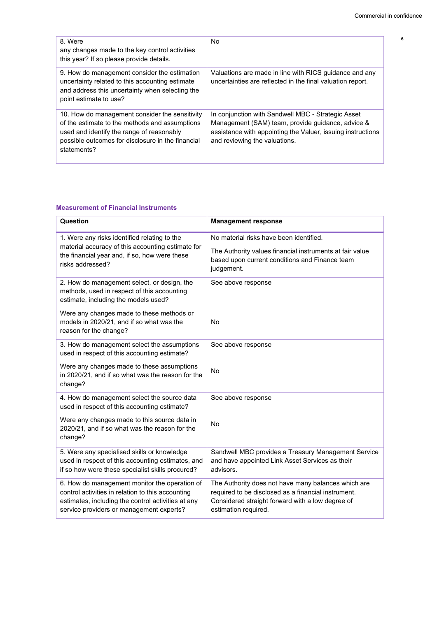| 8. Were<br>any changes made to the key control activities<br>this year? If so please provide details.                                                                                                             | No                                                                                                                                                                                                      |
|-------------------------------------------------------------------------------------------------------------------------------------------------------------------------------------------------------------------|---------------------------------------------------------------------------------------------------------------------------------------------------------------------------------------------------------|
| 9. How do management consider the estimation<br>uncertainty related to this accounting estimate<br>and address this uncertainty when selecting the<br>point estimate to use?                                      | Valuations are made in line with RICS guidance and any<br>uncertainties are reflected in the final valuation report.                                                                                    |
| 10. How do management consider the sensitivity<br>of the estimate to the methods and assumptions<br>used and identify the range of reasonably<br>possible outcomes for disclosure in the financial<br>statements? | In conjunction with Sandwell MBC - Strategic Asset<br>Management (SAM) team, provide guidance, advice &<br>assistance with appointing the Valuer, issuing instructions<br>and reviewing the valuations. |

#### **Measurement of Financial Instruments**

| Question                                                                                                                                                                                             | <b>Management response</b>                                                                                                                                                             |
|------------------------------------------------------------------------------------------------------------------------------------------------------------------------------------------------------|----------------------------------------------------------------------------------------------------------------------------------------------------------------------------------------|
| 1. Were any risks identified relating to the<br>material accuracy of this accounting estimate for<br>the financial year and, if so, how were these<br>risks addressed?                               | No material risks have been identified.<br>The Authority values financial instruments at fair value<br>based upon current conditions and Finance team<br>judgement.                    |
| 2. How do management select, or design, the<br>methods, used in respect of this accounting<br>estimate, including the models used?                                                                   | See above response                                                                                                                                                                     |
| Were any changes made to these methods or<br>models in 2020/21, and if so what was the<br>reason for the change?                                                                                     | <b>No</b>                                                                                                                                                                              |
| 3. How do management select the assumptions<br>used in respect of this accounting estimate?                                                                                                          | See above response                                                                                                                                                                     |
| Were any changes made to these assumptions<br>in 2020/21, and if so what was the reason for the<br>change?                                                                                           | <b>No</b>                                                                                                                                                                              |
| 4. How do management select the source data<br>used in respect of this accounting estimate?                                                                                                          | See above response                                                                                                                                                                     |
| Were any changes made to this source data in<br>2020/21, and if so what was the reason for the<br>change?                                                                                            | <b>No</b>                                                                                                                                                                              |
| 5. Were any specialised skills or knowledge<br>used in respect of this accounting estimates, and<br>if so how were these specialist skills procured?                                                 | Sandwell MBC provides a Treasury Management Service<br>and have appointed Link Asset Services as their<br>advisors.                                                                    |
| 6. How do management monitor the operation of<br>control activities in relation to this accounting<br>estimates, including the control activities at any<br>service providers or management experts? | The Authority does not have many balances which are<br>required to be disclosed as a financial instrument.<br>Considered straight forward with a low degree of<br>estimation required. |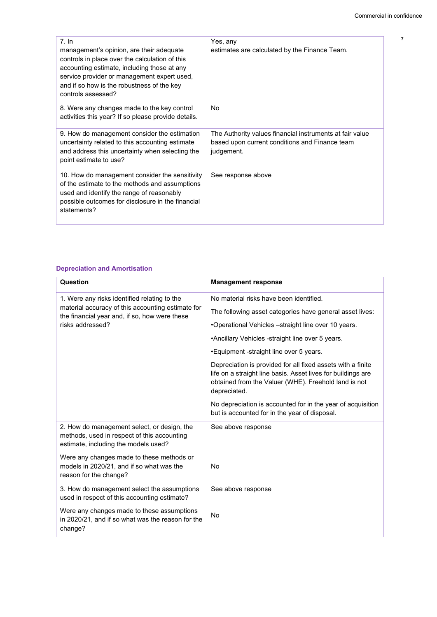| 7. In<br>management's opinion, are their adequate<br>controls in place over the calculation of this<br>accounting estimate, including those at any<br>service provider or management expert used,<br>and if so how is the robustness of the key<br>controls assessed? | Yes, any<br>estimates are calculated by the Finance Team.                                                                |
|-----------------------------------------------------------------------------------------------------------------------------------------------------------------------------------------------------------------------------------------------------------------------|--------------------------------------------------------------------------------------------------------------------------|
| 8. Were any changes made to the key control<br>activities this year? If so please provide details.                                                                                                                                                                    | No                                                                                                                       |
| 9. How do management consider the estimation<br>uncertainty related to this accounting estimate<br>and address this uncertainty when selecting the<br>point estimate to use?                                                                                          | The Authority values financial instruments at fair value<br>based upon current conditions and Finance team<br>judgement. |
| 10. How do management consider the sensitivity<br>of the estimate to the methods and assumptions<br>used and identify the range of reasonably<br>possible outcomes for disclosure in the financial<br>statements?                                                     | See response above                                                                                                       |

### **Depreciation and Amortisation**

| Question                                                                                                                           | <b>Management response</b>                                                                                                                                                                          |
|------------------------------------------------------------------------------------------------------------------------------------|-----------------------------------------------------------------------------------------------------------------------------------------------------------------------------------------------------|
| 1. Were any risks identified relating to the                                                                                       | No material risks have been identified.                                                                                                                                                             |
| material accuracy of this accounting estimate for<br>the financial year and, if so, how were these                                 | The following asset categories have general asset lives:                                                                                                                                            |
| risks addressed?                                                                                                                   | •Operational Vehicles -straight line over 10 years.                                                                                                                                                 |
|                                                                                                                                    | •Ancillary Vehicles -straight line over 5 years.                                                                                                                                                    |
|                                                                                                                                    | •Equipment -straight line over 5 years.                                                                                                                                                             |
|                                                                                                                                    | Depreciation is provided for all fixed assets with a finite<br>life on a straight line basis. Asset lives for buildings are<br>obtained from the Valuer (WHE). Freehold land is not<br>depreciated. |
|                                                                                                                                    | No depreciation is accounted for in the year of acquisition<br>but is accounted for in the year of disposal.                                                                                        |
| 2. How do management select, or design, the<br>methods, used in respect of this accounting<br>estimate, including the models used? | See above response                                                                                                                                                                                  |
| Were any changes made to these methods or<br>models in 2020/21, and if so what was the<br>reason for the change?                   | No                                                                                                                                                                                                  |
| 3. How do management select the assumptions<br>used in respect of this accounting estimate?                                        | See above response                                                                                                                                                                                  |
| Were any changes made to these assumptions<br>in 2020/21, and if so what was the reason for the<br>change?                         | <b>No</b>                                                                                                                                                                                           |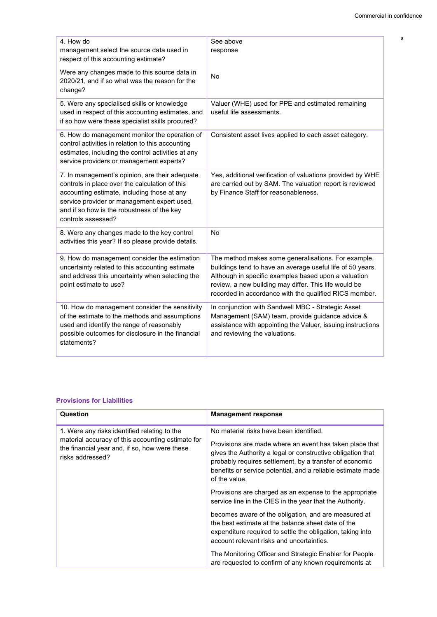| 4. How do<br>management select the source data used in<br>respect of this accounting estimate?                                                                                                                                                                     | See above<br>response                                                                                                                                                                                                                                                                        |
|--------------------------------------------------------------------------------------------------------------------------------------------------------------------------------------------------------------------------------------------------------------------|----------------------------------------------------------------------------------------------------------------------------------------------------------------------------------------------------------------------------------------------------------------------------------------------|
| Were any changes made to this source data in<br>2020/21, and if so what was the reason for the<br>change?                                                                                                                                                          | No                                                                                                                                                                                                                                                                                           |
| 5. Were any specialised skills or knowledge<br>used in respect of this accounting estimates, and<br>if so how were these specialist skills procured?                                                                                                               | Valuer (WHE) used for PPE and estimated remaining<br>useful life assessments.                                                                                                                                                                                                                |
| 6. How do management monitor the operation of<br>control activities in relation to this accounting<br>estimates, including the control activities at any<br>service providers or management experts?                                                               | Consistent asset lives applied to each asset category.                                                                                                                                                                                                                                       |
| 7. In management's opinion, are their adequate<br>controls in place over the calculation of this<br>accounting estimate, including those at any<br>service provider or management expert used,<br>and if so how is the robustness of the key<br>controls assessed? | Yes, additional verification of valuations provided by WHE<br>are carried out by SAM. The valuation report is reviewed<br>by Finance Staff for reasonableness.                                                                                                                               |
| 8. Were any changes made to the key control<br>activities this year? If so please provide details.                                                                                                                                                                 | <b>No</b>                                                                                                                                                                                                                                                                                    |
| 9. How do management consider the estimation<br>uncertainty related to this accounting estimate<br>and address this uncertainty when selecting the<br>point estimate to use?                                                                                       | The method makes some generalisations. For example,<br>buildings tend to have an average useful life of 50 years.<br>Although in specific examples based upon a valuation<br>review, a new building may differ. This life would be<br>recorded in accordance with the qualified RICS member. |
| 10. How do management consider the sensitivity<br>of the estimate to the methods and assumptions<br>used and identify the range of reasonably<br>possible outcomes for disclosure in the financial<br>statements?                                                  | In conjunction with Sandwell MBC - Strategic Asset<br>Management (SAM) team, provide guidance advice &<br>assistance with appointing the Valuer, issuing instructions<br>and reviewing the valuations.                                                                                       |

### **Provisions for Liabilities**

| Question                                                                                                                                                               | <b>Management response</b>                                                                                                                                                                                                                                                                                   |
|------------------------------------------------------------------------------------------------------------------------------------------------------------------------|--------------------------------------------------------------------------------------------------------------------------------------------------------------------------------------------------------------------------------------------------------------------------------------------------------------|
| 1. Were any risks identified relating to the<br>material accuracy of this accounting estimate for<br>the financial year and, if so, how were these<br>risks addressed? | No material risks have been identified.<br>Provisions are made where an event has taken place that<br>gives the Authority a legal or constructive obligation that<br>probably requires settlement, by a transfer of economic<br>benefits or service potential, and a reliable estimate made<br>of the value. |
|                                                                                                                                                                        | Provisions are charged as an expense to the appropriate<br>service line in the CIES in the year that the Authority.                                                                                                                                                                                          |
|                                                                                                                                                                        | becomes aware of the obligation, and are measured at<br>the best estimate at the balance sheet date of the<br>expenditure required to settle the obligation, taking into<br>account relevant risks and uncertainties.                                                                                        |
|                                                                                                                                                                        | The Monitoring Officer and Strategic Enabler for People<br>are requested to confirm of any known requirements at                                                                                                                                                                                             |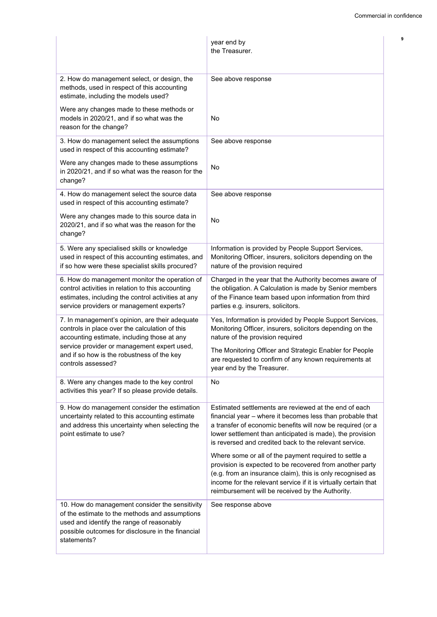|                                                                                                                                                                                                                   | year end by<br>the Treasurer.                                                                                                                                                                                                                                                                           |
|-------------------------------------------------------------------------------------------------------------------------------------------------------------------------------------------------------------------|---------------------------------------------------------------------------------------------------------------------------------------------------------------------------------------------------------------------------------------------------------------------------------------------------------|
| 2. How do management select, or design, the<br>methods, used in respect of this accounting<br>estimate, including the models used?                                                                                | See above response                                                                                                                                                                                                                                                                                      |
| Were any changes made to these methods or<br>models in 2020/21, and if so what was the<br>reason for the change?                                                                                                  | No                                                                                                                                                                                                                                                                                                      |
| 3. How do management select the assumptions<br>used in respect of this accounting estimate?                                                                                                                       | See above response                                                                                                                                                                                                                                                                                      |
| Were any changes made to these assumptions<br>in 2020/21, and if so what was the reason for the<br>change?                                                                                                        | No                                                                                                                                                                                                                                                                                                      |
| 4. How do management select the source data<br>used in respect of this accounting estimate?                                                                                                                       | See above response                                                                                                                                                                                                                                                                                      |
| Were any changes made to this source data in<br>2020/21, and if so what was the reason for the<br>change?                                                                                                         | No                                                                                                                                                                                                                                                                                                      |
| 5. Were any specialised skills or knowledge<br>used in respect of this accounting estimates, and<br>if so how were these specialist skills procured?                                                              | Information is provided by People Support Services,<br>Monitoring Officer, insurers, solicitors depending on the<br>nature of the provision required                                                                                                                                                    |
| 6. How do management monitor the operation of<br>control activities in relation to this accounting<br>estimates, including the control activities at any<br>service providers or management experts?              | Charged in the year that the Authority becomes aware of<br>the obligation. A Calculation is made by Senior members<br>of the Finance team based upon information from third<br>parties e.g. insurers, solicitors.                                                                                       |
| 7. In management's opinion, are their adequate<br>controls in place over the calculation of this<br>accounting estimate, including those at any                                                                   | Yes, Information is provided by People Support Services,<br>Monitoring Officer, insurers, solicitors depending on the<br>nature of the provision required                                                                                                                                               |
| service provider or management expert used,<br>and if so how is the robustness of the key<br>controls assessed?                                                                                                   | The Monitoring Officer and Strategic Enabler for People<br>are requested to confirm of any known requirements at<br>year end by the Treasurer.                                                                                                                                                          |
| 8. Were any changes made to the key control<br>activities this year? If so please provide details.                                                                                                                | No                                                                                                                                                                                                                                                                                                      |
| 9. How do management consider the estimation<br>uncertainty related to this accounting estimate<br>and address this uncertainty when selecting the<br>point estimate to use?                                      | Estimated settlements are reviewed at the end of each<br>financial year - where it becomes less than probable that<br>a transfer of economic benefits will now be required (or a<br>lower settlement than anticipated is made), the provision<br>is reversed and credited back to the relevant service. |
|                                                                                                                                                                                                                   | Where some or all of the payment required to settle a<br>provision is expected to be recovered from another party<br>(e.g. from an insurance claim), this is only recognised as<br>income for the relevant service if it is virtually certain that<br>reimbursement will be received by the Authority.  |
| 10. How do management consider the sensitivity<br>of the estimate to the methods and assumptions<br>used and identify the range of reasonably<br>possible outcomes for disclosure in the financial<br>statements? | See response above                                                                                                                                                                                                                                                                                      |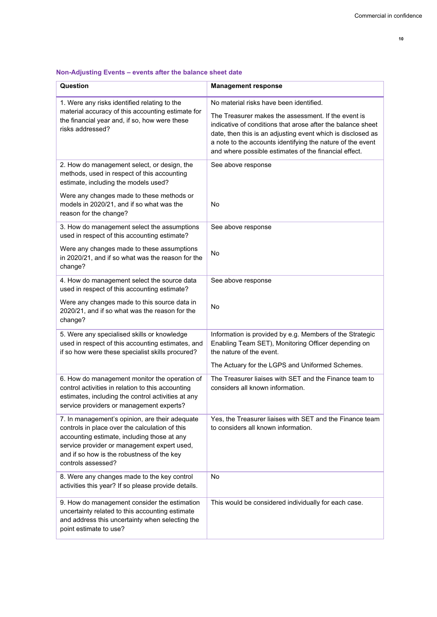|  |  | 10 |
|--|--|----|

| Question                                                                                                                                                                                                                                                           | <b>Management response</b>                                                                                                                                                                                                                                                                                                                          |
|--------------------------------------------------------------------------------------------------------------------------------------------------------------------------------------------------------------------------------------------------------------------|-----------------------------------------------------------------------------------------------------------------------------------------------------------------------------------------------------------------------------------------------------------------------------------------------------------------------------------------------------|
| 1. Were any risks identified relating to the<br>material accuracy of this accounting estimate for<br>the financial year and, if so, how were these<br>risks addressed?                                                                                             | No material risks have been identified.<br>The Treasurer makes the assessment. If the event is<br>indicative of conditions that arose after the balance sheet<br>date, then this is an adjusting event which is disclosed as<br>a note to the accounts identifying the nature of the event<br>and where possible estimates of the financial effect. |
| 2. How do management select, or design, the<br>methods, used in respect of this accounting<br>estimate, including the models used?                                                                                                                                 | See above response                                                                                                                                                                                                                                                                                                                                  |
| Were any changes made to these methods or<br>models in 2020/21, and if so what was the<br>reason for the change?                                                                                                                                                   | No                                                                                                                                                                                                                                                                                                                                                  |
| 3. How do management select the assumptions<br>used in respect of this accounting estimate?                                                                                                                                                                        | See above response                                                                                                                                                                                                                                                                                                                                  |
| Were any changes made to these assumptions<br>in 2020/21, and if so what was the reason for the<br>change?                                                                                                                                                         | No                                                                                                                                                                                                                                                                                                                                                  |
| 4. How do management select the source data<br>used in respect of this accounting estimate?                                                                                                                                                                        | See above response                                                                                                                                                                                                                                                                                                                                  |
| Were any changes made to this source data in<br>2020/21, and if so what was the reason for the<br>change?                                                                                                                                                          | No                                                                                                                                                                                                                                                                                                                                                  |
| 5. Were any specialised skills or knowledge<br>used in respect of this accounting estimates, and<br>if so how were these specialist skills procured?                                                                                                               | Information is provided by e.g. Members of the Strategic<br>Enabling Team SET), Monitoring Officer depending on<br>the nature of the event.                                                                                                                                                                                                         |
|                                                                                                                                                                                                                                                                    | The Actuary for the LGPS and Uniformed Schemes.                                                                                                                                                                                                                                                                                                     |
| 6. How do management monitor the operation of<br>control activities in relation to this accounting<br>estimates, including the control activities at any<br>service providers or management experts?                                                               | The Treasurer liaises with SET and the Finance team to<br>considers all known information.                                                                                                                                                                                                                                                          |
| 7. In management's opinion, are their adequate<br>controls in place over the calculation of this<br>accounting estimate, including those at any<br>service provider or management expert used,<br>and if so how is the robustness of the key<br>controls assessed? | Yes, the Treasurer liaises with SET and the Finance team<br>to considers all known information.                                                                                                                                                                                                                                                     |
| 8. Were any changes made to the key control<br>activities this year? If so please provide details.                                                                                                                                                                 | No                                                                                                                                                                                                                                                                                                                                                  |
| 9. How do management consider the estimation<br>uncertainty related to this accounting estimate<br>and address this uncertainty when selecting the<br>point estimate to use?                                                                                       | This would be considered individually for each case.                                                                                                                                                                                                                                                                                                |

# **NonAdjusting Events – events after the balance sheet date**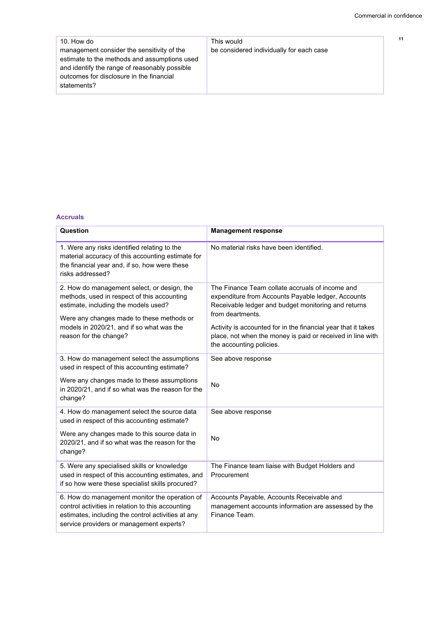$11$ 

| 10. How do                                    | This would                               |
|-----------------------------------------------|------------------------------------------|
| management consider the sensitivity of the    | be considered individually for each case |
| estimate to the methods and assumptions used  |                                          |
| and identify the range of reasonably possible |                                          |
| outcomes for disclosure in the financial      |                                          |
| statements?                                   |                                          |

#### **Accruals**

| Question                                                                                                                                                                                                                                               | <b>Management response</b>                                                                                                                                                                                                                                                                                                                  |
|--------------------------------------------------------------------------------------------------------------------------------------------------------------------------------------------------------------------------------------------------------|---------------------------------------------------------------------------------------------------------------------------------------------------------------------------------------------------------------------------------------------------------------------------------------------------------------------------------------------|
| 1. Were any risks identified relating to the<br>material accuracy of this accounting estimate for<br>the financial year and, if so, how were these<br>risks addressed?                                                                                 | No material risks have been identified.                                                                                                                                                                                                                                                                                                     |
| 2. How do management select, or design, the<br>methods, used in respect of this accounting<br>estimate, including the models used?<br>Were any changes made to these methods or<br>models in 2020/21, and if so what was the<br>reason for the change? | The Finance Team collate accruals of income and<br>expenditure from Accounts Payable ledger, Accounts<br>Receivable ledger and budget monitoring and returns<br>from deartments.<br>Activity is accounted for in the financial year that it takes<br>place, not when the money is paid or received in line with<br>the accounting policies. |
| 3. How do management select the assumptions<br>used in respect of this accounting estimate?                                                                                                                                                            | See above response                                                                                                                                                                                                                                                                                                                          |
| Were any changes made to these assumptions<br>in 2020/21, and if so what was the reason for the<br>change?                                                                                                                                             | No                                                                                                                                                                                                                                                                                                                                          |
| 4. How do management select the source data<br>used in respect of this accounting estimate?                                                                                                                                                            | See above response                                                                                                                                                                                                                                                                                                                          |
| Were any changes made to this source data in<br>2020/21, and if so what was the reason for the<br>change?                                                                                                                                              | <b>No</b>                                                                                                                                                                                                                                                                                                                                   |
| 5. Were any specialised skills or knowledge<br>used in respect of this accounting estimates, and<br>if so how were these specialist skills procured?                                                                                                   | The Finance team liaise with Budget Holders and<br>Procurement                                                                                                                                                                                                                                                                              |
| 6. How do management monitor the operation of<br>control activities in relation to this accounting<br>estimates, including the control activities at any<br>service providers or management experts?                                                   | Accounts Payable, Accounts Receivable and<br>management accounts information are assessed by the<br>Finance Team.                                                                                                                                                                                                                           |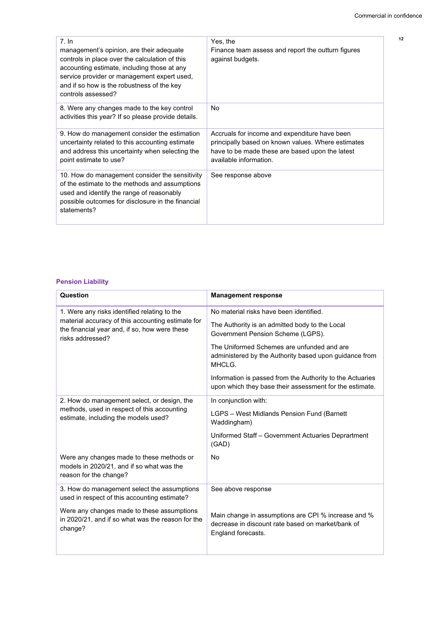$12$ 

| 7.1n<br>management's opinion, are their adequate<br>controls in place over the calculation of this<br>accounting estimate, including those at any<br>service provider or management expert used,<br>and if so how is the robustness of the key<br>controls assessed? | Yes, the<br>Finance team assess and report the outturn figures<br>against budgets.                                                                                               |
|----------------------------------------------------------------------------------------------------------------------------------------------------------------------------------------------------------------------------------------------------------------------|----------------------------------------------------------------------------------------------------------------------------------------------------------------------------------|
| 8. Were any changes made to the key control<br>activities this year? If so please provide details.                                                                                                                                                                   | No                                                                                                                                                                               |
| 9. How do management consider the estimation<br>uncertainty related to this accounting estimate<br>and address this uncertainty when selecting the<br>point estimate to use?                                                                                         | Accruals for income and expenditure have been<br>principally based on known values. Where estimates<br>have to be made these are based upon the latest<br>available information. |
| 10. How do management consider the sensitivity<br>of the estimate to the methods and assumptions<br>used and identify the range of reasonably<br>possible outcomes for disclosure in the financial<br>statements?                                                    | See response above                                                                                                                                                               |

### **Pension Liability**

| Question                                                                                                                                                                                                  | <b>Management response</b>                                                                                                                                                                                                                       |
|-----------------------------------------------------------------------------------------------------------------------------------------------------------------------------------------------------------|--------------------------------------------------------------------------------------------------------------------------------------------------------------------------------------------------------------------------------------------------|
| 1. Were any risks identified relating to the<br>material accuracy of this accounting estimate for<br>the financial year and, if so, how were these<br>risks addressed?                                    | No material risks have been identified.<br>The Authority is an admitted body to the Local<br>Government Pension Scheme (LGPS).<br>The Uniformed Schemes are unfunded and are<br>administered by the Authority based upon guidance from<br>MHCLG. |
|                                                                                                                                                                                                           | Information is passed from the Authority to the Actuaries<br>upon which they base their assessment for the estimate.                                                                                                                             |
| 2. How do management select, or design, the<br>methods, used in respect of this accounting<br>estimate, including the models used?                                                                        | In conjunction with:<br>LGPS - West Midlands Pension Fund (Barnett<br>Waddingham)<br>Uniformed Staff - Government Actuaries Deprartment<br>(GAD)                                                                                                 |
| Were any changes made to these methods or<br>models in 2020/21, and if so what was the<br>reason for the change?                                                                                          | <b>No</b>                                                                                                                                                                                                                                        |
| 3. How do management select the assumptions<br>used in respect of this accounting estimate?<br>Were any changes made to these assumptions<br>in 2020/21, and if so what was the reason for the<br>change? | See above response<br>Main change in assumptions are CPI % increase and %<br>decrease in discount rate based on market/bank of<br>England forecasts.                                                                                             |